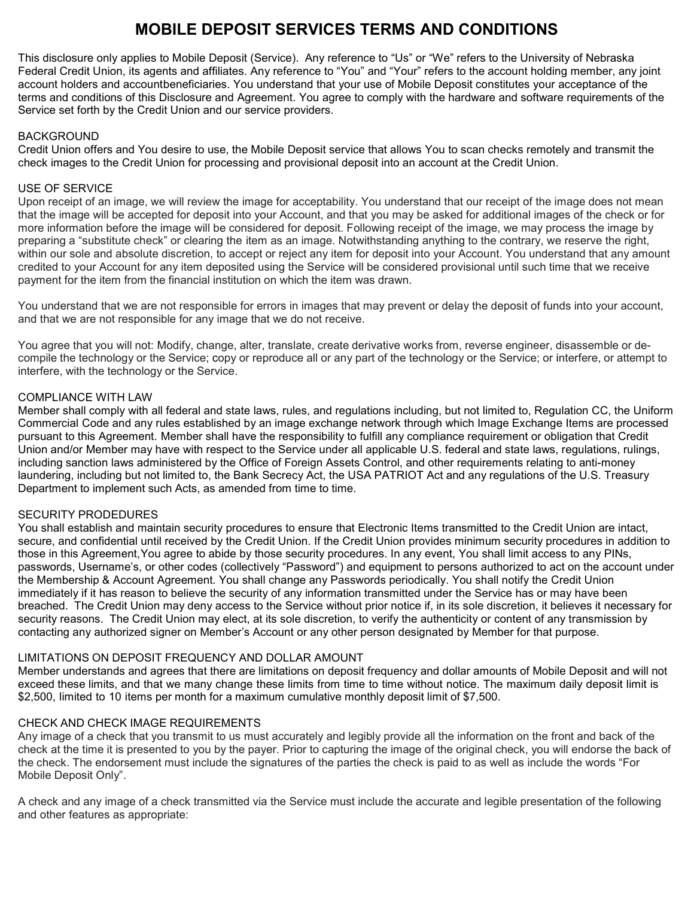# **MOBILE DEPOSIT SERVICES TERMS AND CONDITIONS**

This disclosure only applies to Mobile Deposit (Service). Any reference to "Us" or "We" refers to the University of Nebraska Federal Credit Union, its agents and affiliates. Any reference to "You" and "Your" refers to the account holding member, any joint account holders and accountbeneficiaries. You understand that your use of Mobile Deposit constitutes your acceptance of the terms and conditions of this Disclosure and Agreement. You agree to comply with the hardware and software requirements of the Service set forth by the Credit Union and our service providers.

## BACKGROUND

Credit Union offers and You desire to use, the Mobile Deposit service that allows You to scan checks remotely and transmit the check images to the Credit Union for processing and provisional deposit into an account at the Credit Union.

# USE OF SERVICE

Upon receipt of an image, we will review the image for acceptability. You understand that our receipt of the image does not mean that the image will be accepted for deposit into your Account, and that you may be asked for additional images of the check or for more information before the image will be considered for deposit. Following receipt of the image, we may process the image by preparing a "substitute check" or clearing the item as an image. Notwithstanding anything to the contrary, we reserve the right, within our sole and absolute discretion, to accept or reject any item for deposit into your Account. You understand that any amount credited to your Account for any item deposited using the Service will be considered provisional until such time that we receive payment for the item from the financial institution on which the item was drawn.

You understand that we are not responsible for errors in images that may prevent or delay the deposit of funds into your account, and that we are not responsible for any image that we do not receive.

You agree that you will not: Modify, change, alter, translate, create derivative works from, reverse engineer, disassemble or decompile the technology or the Service; copy or reproduce all or any part of the technology or the Service; or interfere, or attempt to interfere, with the technology or the Service.

# COMPLIANCE WITH LAW

Member shall comply with all federal and state laws, rules, and regulations including, but not limited to, Regulation CC, the Uniform Commercial Code and any rules established by an image exchange network through which Image Exchange Items are processed pursuant to this Agreement. Member shall have the responsibility to fulfill any compliance requirement or obligation that Credit Union and/or Member may have with respect to the Service under all applicable U.S. federal and state laws, regulations, rulings, including sanction laws administered by the Office of Foreign Assets Control, and other requirements relating to anti-money laundering, including but not limited to, the Bank Secrecy Act, the USA PATRIOT Act and any regulations of the U.S. Treasury Department to implement such Acts, as amended from time to time.

## SECURITY PRODEDURES

You shall establish and maintain security procedures to ensure that Electronic Items transmitted to the Credit Union are intact, secure, and confidential until received by the Credit Union. If the Credit Union provides minimum security procedures in addition to those in this Agreement,You agree to abide by those security procedures. In any event, You shall limit access to any PINs, passwords, Username's, or other codes (collectively "Password") and equipment to persons authorized to act on the account under the Membership & Account Agreement. You shall change any Passwords periodically. You shall notify the Credit Union immediately if it has reason to believe the security of any information transmitted under the Service has or may have been breached. The Credit Union may deny access to the Service without prior notice if, in its sole discretion, it believes it necessary for security reasons. The Credit Union may elect, at its sole discretion, to verify the authenticity or content of any transmission by contacting any authorized signer on Member's Account or any other person designated by Member for that purpose.

# LIMITATIONS ON DEPOSIT FREQUENCY AND DOLLAR AMOUNT

Member understands and agrees that there are limitations on deposit frequency and dollar amounts of Mobile Deposit and will not exceed these limits, and that we many change these limits from time to time without notice. The maximum daily deposit limit is \$2,500, limited to 10 items per month for a maximum cumulative monthly deposit limit of \$7,500.

# CHECK AND CHECK IMAGE REQUIREMENTS

Any image of a check that you transmit to us must accurately and legibly provide all the information on the front and back of the check at the time it is presented to you by the payer. Prior to capturing the image of the original check, you will endorse the back of the check. The endorsement must include the signatures of the parties the check is paid to as well as include the words "For Mobile Deposit Only".

A check and any image of a check transmitted via the Service must include the accurate and legible presentation of the following and other features as appropriate: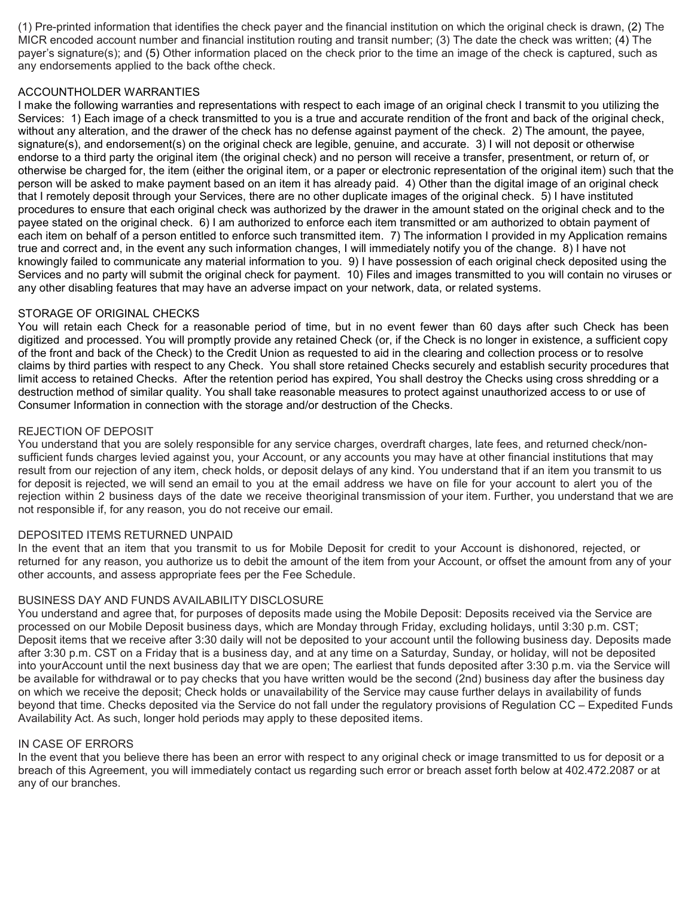(1) Pre-printed information that identifies the check payer and the financial institution on which the original check is drawn, (2) The MICR encoded account number and financial institution routing and transit number; (3) The date the check was written; (4) The payer's signature(s); and (5) Other information placed on the check prior to the time an image of the check is captured, such as any endorsements applied to the back ofthe check.

# ACCOUNTHOLDER WARRANTIES

I make the following warranties and representations with respect to each image of an original check I transmit to you utilizing the Services: 1) Each image of a check transmitted to you is a true and accurate rendition of the front and back of the original check, without any alteration, and the drawer of the check has no defense against payment of the check. 2) The amount, the payee, signature(s), and endorsement(s) on the original check are legible, genuine, and accurate. 3) I will not deposit or otherwise endorse to a third party the original item (the original check) and no person will receive a transfer, presentment, or return of, or otherwise be charged for, the item (either the original item, or a paper or electronic representation of the original item) such that the person will be asked to make payment based on an item it has already paid. 4) Other than the digital image of an original check that I remotely deposit through your Services, there are no other duplicate images of the original check. 5) I have instituted procedures to ensure that each original check was authorized by the drawer in the amount stated on the original check and to the payee stated on the original check. 6) I am authorized to enforce each item transmitted or am authorized to obtain payment of each item on behalf of a person entitled to enforce such transmitted item. 7) The information I provided in my Application remains true and correct and, in the event any such information changes, I will immediately notify you of the change. 8) I have not knowingly failed to communicate any material information to you. 9) I have possession of each original check deposited using the Services and no party will submit the original check for payment. 10) Files and images transmitted to you will contain no viruses or any other disabling features that may have an adverse impact on your network, data, or related systems.

# STORAGE OF ORIGINAL CHECKS

You will retain each Check for a reasonable period of time, but in no event fewer than 60 days after such Check has been digitized and processed. You will promptly provide any retained Check (or, if the Check is no longer in existence, a sufficient copy of the front and back of the Check) to the Credit Union as requested to aid in the clearing and collection process or to resolve claims by third parties with respect to any Check. You shall store retained Checks securely and establish security procedures that limit access to retained Checks. After the retention period has expired, You shall destroy the Checks using cross shredding or a destruction method of similar quality. You shall take reasonable measures to protect against unauthorized access to or use of Consumer Information in connection with the storage and/or destruction of the Checks.

# REJECTION OF DEPOSIT

You understand that you are solely responsible for any service charges, overdraft charges, late fees, and returned check/nonsufficient funds charges levied against you, your Account, or any accounts you may have at other financial institutions that may result from our rejection of any item, check holds, or deposit delays of any kind. You understand that if an item you transmit to us for deposit is rejected, we will send an email to you at the email address we have on file for your account to alert you of the rejection within 2 business days of the date we receive theoriginal transmission of your item. Further, you understand that we are not responsible if, for any reason, you do not receive our email.

## DEPOSITED ITEMS RETURNED UNPAID

In the event that an item that you transmit to us for Mobile Deposit for credit to your Account is dishonored, rejected, or returned for any reason, you authorize us to debit the amount of the item from your Account, or offset the amount from any of your other accounts, and assess appropriate fees per the Fee Schedule.

# BUSINESS DAY AND FUNDS AVAILABILITY DISCLOSURE

You understand and agree that, for purposes of deposits made using the Mobile Deposit: Deposits received via the Service are processed on our Mobile Deposit business days, which are Monday through Friday, excluding holidays, until 3:30 p.m. CST; Deposit items that we receive after 3:30 daily will not be deposited to your account until the following business day. Deposits made after 3:30 p.m. CST on a Friday that is a business day, and at any time on a Saturday, Sunday, or holiday, will not be deposited into yourAccount until the next business day that we are open; The earliest that funds deposited after 3:30 p.m. via the Service will be available for withdrawal or to pay checks that you have written would be the second (2nd) business day after the business day on which we receive the deposit; Check holds or unavailability of the Service may cause further delays in availability of funds beyond that time. Checks deposited via the Service do not fall under the regulatory provisions of Regulation CC – Expedited Funds Availability Act. As such, longer hold periods may apply to these deposited items.

# IN CASE OF ERRORS

In the event that you believe there has been an error with respect to any original check or image transmitted to us for deposit or a breach of this Agreement, you will immediately contact us regarding such error or breach asset forth below at 402.472.2087 or at any of our branches.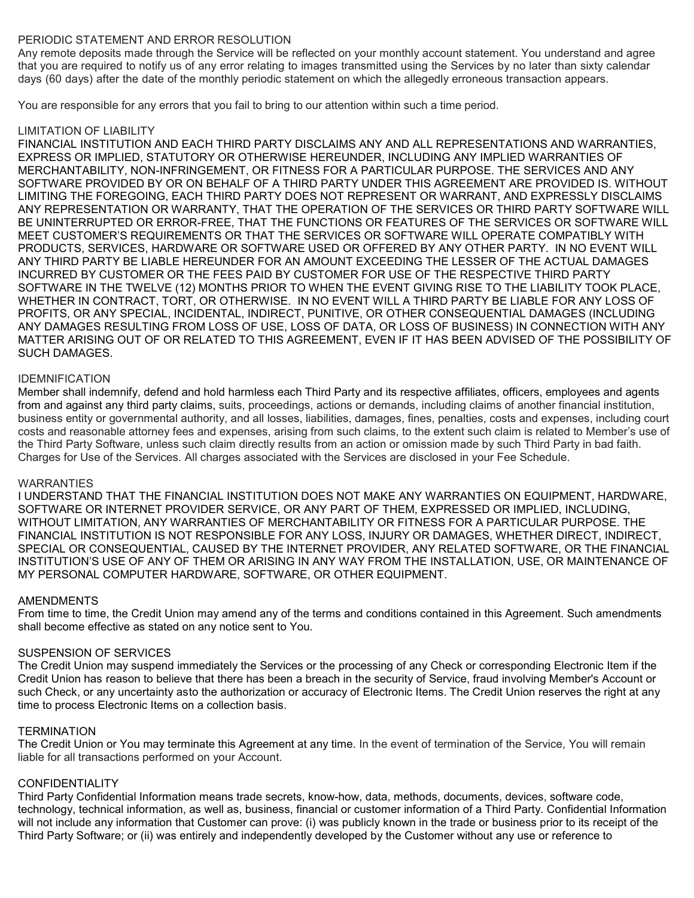# PERIODIC STATEMENT AND ERROR RESOLUTION

Any remote deposits made through the Service will be reflected on your monthly account statement. You understand and agree that you are required to notify us of any error relating to images transmitted using the Services by no later than sixty calendar days (60 days) after the date of the monthly periodic statement on which the allegedly erroneous transaction appears.

You are responsible for any errors that you fail to bring to our attention within such a time period.

# LIMITATION OF LIABILITY

FINANCIAL INSTITUTION AND EACH THIRD PARTY DISCLAIMS ANY AND ALL REPRESENTATIONS AND WARRANTIES, EXPRESS OR IMPLIED, STATUTORY OR OTHERWISE HEREUNDER, INCLUDING ANY IMPLIED WARRANTIES OF MERCHANTABILITY, NON-INFRINGEMENT, OR FITNESS FOR A PARTICULAR PURPOSE. THE SERVICES AND ANY SOFTWARE PROVIDED BY OR ON BEHALF OF A THIRD PARTY UNDER THIS AGREEMENT ARE PROVIDED IS. WITHOUT LIMITING THE FOREGOING, EACH THIRD PARTY DOES NOT REPRESENT OR WARRANT, AND EXPRESSLY DISCLAIMS ANY REPRESENTATION OR WARRANTY, THAT THE OPERATION OF THE SERVICES OR THIRD PARTY SOFTWARE WILL BE UNINTERRUPTED OR ERROR-FREE, THAT THE FUNCTIONS OR FEATURES OF THE SERVICES OR SOFTWARE WILL MEET CUSTOMER'S REQUIREMENTS OR THAT THE SERVICES OR SOFTWARE WILL OPERATE COMPATIBLY WITH PRODUCTS, SERVICES, HARDWARE OR SOFTWARE USED OR OFFERED BY ANY OTHER PARTY. IN NO EVENT WILL ANY THIRD PARTY BE LIABLE HEREUNDER FOR AN AMOUNT EXCEEDING THE LESSER OF THE ACTUAL DAMAGES INCURRED BY CUSTOMER OR THE FEES PAID BY CUSTOMER FOR USE OF THE RESPECTIVE THIRD PARTY SOFTWARE IN THE TWELVE (12) MONTHS PRIOR TO WHEN THE EVENT GIVING RISE TO THE LIABILITY TOOK PLACE, WHETHER IN CONTRACT, TORT, OR OTHERWISE. IN NO EVENT WILL A THIRD PARTY BE LIABLE FOR ANY LOSS OF PROFITS, OR ANY SPECIAL, INCIDENTAL, INDIRECT, PUNITIVE, OR OTHER CONSEQUENTIAL DAMAGES (INCLUDING ANY DAMAGES RESULTING FROM LOSS OF USE, LOSS OF DATA, OR LOSS OF BUSINESS) IN CONNECTION WITH ANY MATTER ARISING OUT OF OR RELATED TO THIS AGREEMENT, EVEN IF IT HAS BEEN ADVISED OF THE POSSIBILITY OF SUCH DAMAGES.

# IDEMNIFICATION

Member shall indemnify, defend and hold harmless each Third Party and its respective affiliates, officers, employees and agents from and against any third party claims, suits, proceedings, actions or demands, including claims of another financial institution, business entity or governmental authority, and all losses, liabilities, damages, fines, penalties, costs and expenses, including court costs and reasonable attorney fees and expenses, arising from such claims, to the extent such claim is related to Member's use of the Third Party Software, unless such claim directly results from an action or omission made by such Third Party in bad faith. Charges for Use of the Services. All charges associated with the Services are disclosed in your Fee Schedule.

## **WARRANTIES**

I UNDERSTAND THAT THE FINANCIAL INSTITUTION DOES NOT MAKE ANY WARRANTIES ON EQUIPMENT, HARDWARE, SOFTWARE OR INTERNET PROVIDER SERVICE, OR ANY PART OF THEM, EXPRESSED OR IMPLIED, INCLUDING, WITHOUT LIMITATION, ANY WARRANTIES OF MERCHANTABILITY OR FITNESS FOR A PARTICULAR PURPOSE. THE FINANCIAL INSTITUTION IS NOT RESPONSIBLE FOR ANY LOSS, INJURY OR DAMAGES, WHETHER DIRECT, INDIRECT, SPECIAL OR CONSEQUENTIAL, CAUSED BY THE INTERNET PROVIDER, ANY RELATED SOFTWARE, OR THE FINANCIAL INSTITUTION'S USE OF ANY OF THEM OR ARISING IN ANY WAY FROM THE INSTALLATION, USE, OR MAINTENANCE OF MY PERSONAL COMPUTER HARDWARE, SOFTWARE, OR OTHER EQUIPMENT.

## AMENDMENTS

From time to time, the Credit Union may amend any of the terms and conditions contained in this Agreement. Such amendments shall become effective as stated on any notice sent to You.

## SUSPENSION OF SERVICES

The Credit Union may suspend immediately the Services or the processing of any Check or corresponding Electronic Item if the Credit Union has reason to believe that there has been a breach in the security of Service, fraud involving Member's Account or such Check, or any uncertainty asto the authorization or accuracy of Electronic Items. The Credit Union reserves the right at any time to process Electronic Items on a collection basis.

## **TERMINATION**

The Credit Union or You may terminate this Agreement at any time. In the event of termination of the Service, You will remain liable for all transactions performed on your Account.

## **CONFIDENTIALITY**

Third Party Confidential Information means trade secrets, know-how, data, methods, documents, devices, software code, technology, technical information, as well as, business, financial or customer information of a Third Party. Confidential Information will not include any information that Customer can prove: (i) was publicly known in the trade or business prior to its receipt of the Third Party Software; or (ii) was entirely and independently developed by the Customer without any use or reference to